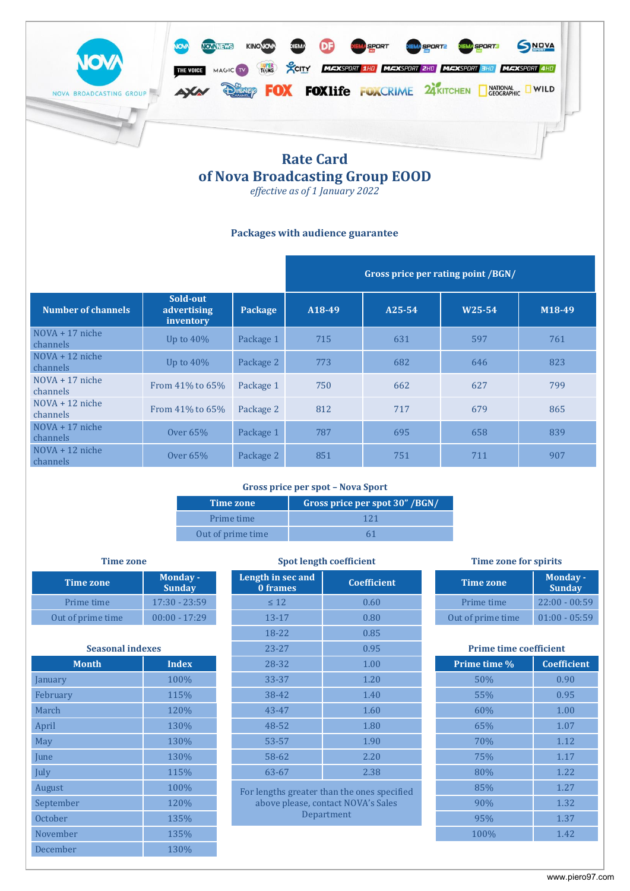

# **of Nova Broadcasting Group EOOD**

*effective as of 1 January 2022*

## **Packages with audience guarantee**

|                               |                                      |           | Gross price per rating point /BGN/ |        |        |        |
|-------------------------------|--------------------------------------|-----------|------------------------------------|--------|--------|--------|
| Number of channels            | Sold-out<br>advertising<br>inventory | Package   | A18-49                             | A25-54 | W25-54 | M18-49 |
| $NOVA + 17$ niche<br>channels | Up to $40\%$                         | Package 1 | 715                                | 631    | 597    | 761    |
| $NOVA + 12$ niche<br>channels | Up to $40\%$                         | Package 2 | 773                                | 682    | 646    | 823    |
| $NOVA + 17$ niche<br>channels | From $41\%$ to $65\%$                | Package 1 | 750                                | 662    | 627    | 799    |
| $NOVA + 12$ niche<br>channels | From 41% to 65%                      | Package 2 | 812                                | 717    | 679    | 865    |
| $NOVA + 17$ niche<br>channels | Over $65\%$                          | Package 1 | 787                                | 695    | 658    | 839    |
| $NOVA + 12$ niche<br>channels | Over $65%$                           | Package 2 | 851                                | 751    | 711    | 907    |

### **Gross price per spot – Nova Sport**

| Time zone         | Gross price per spot 30" /BGN/ |
|-------------------|--------------------------------|
| Prime time        | 121                            |
| Out of prime time |                                |

| Time zone         | <b>Monday-</b><br><b>Sunday</b> |
|-------------------|---------------------------------|
| Prime time        | $17:30 - 23:59$                 |
| Out of prime time | $00:00 - 17:29$                 |

| <b>Seasonal indexes</b> |              | $23 - 27$                                                                         | 0.95       |              | <b>Prime time coefficient</b> |  |  |
|-------------------------|--------------|-----------------------------------------------------------------------------------|------------|--------------|-------------------------------|--|--|
| <b>Month</b>            | <b>Index</b> | 28-32                                                                             | 1.00       | Prime time % | Coeffici                      |  |  |
| January                 | 100%         | $33 - 37$                                                                         | 1.20       | 50%          | 0.90                          |  |  |
| February                | 115%         | 38-42                                                                             | 1.40       | 55%          | 0.95                          |  |  |
| March                   | 120%         | 43-47                                                                             | 1.60       | 60%          | 1.00                          |  |  |
| April                   | 130%         | 48-52                                                                             | 1.80       | 65%          | 1.07                          |  |  |
| May                     | 130%         | 53-57                                                                             | 1.90       | 70%          | 1.12                          |  |  |
| <b>June</b>             | 130%         | 58-62                                                                             | 2.20       | 75%          | 1.17                          |  |  |
| July                    | 115%         | 63-67                                                                             | 2.38       | 80%          | 1.22                          |  |  |
| August                  | 100%         | For lengths greater than the ones specified<br>above please, contact NOVA's Sales |            | 85%          | 1.27                          |  |  |
| September               | 120%         |                                                                                   |            | 90%          | 1.32                          |  |  |
| October                 | 135%         |                                                                                   | Department | 95%          | 1.37                          |  |  |
| November                | 135%         |                                                                                   |            | 100%         | 1.42                          |  |  |
| December                | 130%         |                                                                                   |            |              |                               |  |  |

| <b>Time zone</b>        |                                  | <b>Spot length coefficient</b> |                                             | <b>Time zone for spirits</b>  |                                  |
|-------------------------|----------------------------------|--------------------------------|---------------------------------------------|-------------------------------|----------------------------------|
| <b>Time zone</b>        | <b>Monday -</b><br><b>Sunday</b> | Length in sec and<br>0 frames  | <b>Coefficient</b>                          | <b>Time zone</b>              | <b>Monday -</b><br><b>Sunday</b> |
| Prime time              | $17:30 - 23:59$                  | $\leq 12$                      | 0.60                                        | Prime time                    | $22:00 - 00:59$                  |
| Out of prime time       | $00:00 - 17:29$                  | $13 - 17$                      | 0.80                                        | Out of prime time             | $01:00 - 05:59$                  |
|                         |                                  | 18-22                          | 0.85                                        |                               |                                  |
| <b>Seasonal indexes</b> |                                  | $23 - 27$                      | 0.95                                        | <b>Prime time coefficient</b> |                                  |
| <b>Month</b>            | <b>Index</b>                     | 28-32                          | 1.00                                        | Prime time %                  | <b>Coefficient</b>               |
| January                 | 100%                             | 33-37                          | 1.20                                        | 50%                           | 0.90                             |
| February                | 115%                             | 38-42                          | 1.40                                        | 55%                           | 0.95                             |
| March                   | 120%                             | 43-47                          | 1.60                                        | 60%                           | 1.00                             |
| April                   | 130%                             | 48-52                          | 1.80                                        | 65%                           | 1.07                             |
| May                     | 130%                             | 53-57                          | 1.90                                        | 70%                           | 1.12                             |
| June                    | 130%                             | 58-62                          | 2.20                                        | 75%                           | 1.17                             |
| July                    | 115%                             | 63-67                          | 2.38                                        | 80%                           | 1.22                             |
| August                  | 100%                             |                                | For langthe greater than the enes specified | 85%                           | 1.27                             |

| <b>Time zone</b>  | <b>Monday-</b><br><b>Sunday</b> |
|-------------------|---------------------------------|
| Prime time        | $22:00 - 00:59$                 |
| Out of prime time | $01:00 - 05:59$                 |

# **Prime time coefficient Prime time %** | **Coefficient** 85% 1.27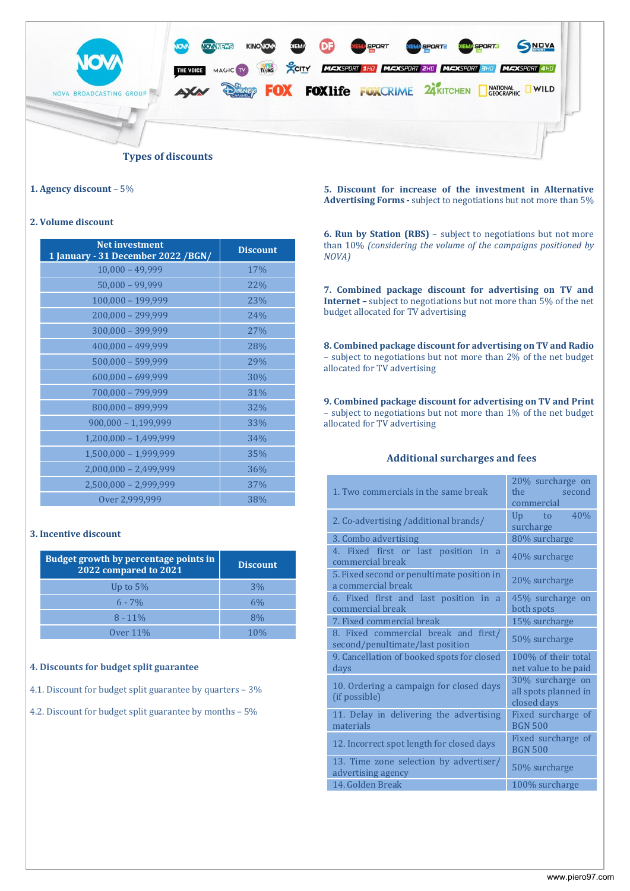

### **1. Agency discount** – 5%

### **2. Volume discount**

| <b>Net investment</b><br>1 January - 31 December 2022 / BGN/ | <b>Discount</b> |
|--------------------------------------------------------------|-----------------|
| $10,000 - 49,999$                                            | 17%             |
| $50,000 - 99,999$                                            | 22%             |
| 100,000 - 199,999                                            | 23%             |
| 200,000 - 299,999                                            | 24%             |
| 300,000 - 399,999                                            | 27%             |
| $400,000 - 499,999$                                          | 28%             |
| $500,000 - 599,999$                                          | 29%             |
| $600,000 - 699,999$                                          | 30%             |
| 700,000 - 799,999                                            | 31%             |
| 800,000 - 899,999                                            | 32%             |
| $900,000 - 1,199,999$                                        | 33%             |
| $1,200,000 - 1,499,999$                                      | 34%             |
| 1,500,000 - 1,999,999                                        | 35%             |
| $2,000,000 - 2,499,999$                                      | 36%             |
| 2,500,000 - 2,999,999                                        | 37%             |
| Over 2,999,999                                               | 38%             |

### **3. Incentive discount**

| <b>Budget growth by percentage points in</b><br>2022 compared to 2021 | <b>Discount</b> |
|-----------------------------------------------------------------------|-----------------|
| Up to $5\%$                                                           | 3%              |
| $6 - 7\%$                                                             | 6%              |
| $8 - 11\%$                                                            | 8%              |
| Over 11%                                                              |                 |

### **4. Discounts for budget split guarantee**

4.1. Discount for budget split guarantee by quarters – 3%

4.2. Discount for budget split guarantee by months – 5%

**5. Discount for increase of the investment in Alternative Advertising Forms -** subject to negotiations but not more than 5%

**6. Run by Station (RBS)** – subject to negotiations but not more than 10% *(considering the volume of the campaigns positioned by NOVA)*

**7. Combined package discount for advertising on TV and Internet –** subject to negotiations but not more than 5% of the net budget allocated for TV advertising

**8. Combined package discount for advertising on TV and Radio** – subject to negotiations but not more than 2% of the net budget allocated for TV advertising

**9. Combined package discount for advertising on TV and Print**  – subject to negotiations but not more than 1% of the net budget allocated for TV advertising

# **Additional surcharges and fees**

| 1. Two commercials in the same break                                     | 20% surcharge on<br>the<br><b>Second</b><br>commercial  |
|--------------------------------------------------------------------------|---------------------------------------------------------|
| 2. Co-advertising /additional brands/                                    | 40%<br>Up to<br>surcharge                               |
| 3. Combo advertising                                                     | 80% surcharge                                           |
| 4. Fixed first or last position in a<br>commercial break                 | 40% surcharge                                           |
| 5. Fixed second or penultimate position in<br>a commercial break         | 20% surcharge                                           |
| 6. Fixed first and last position in a<br>commercial break                | 45% surcharge on<br>both spots                          |
| 7. Fixed commercial break                                                | 15% surcharge                                           |
| 8. Fixed commercial break and first/<br>second/penultimate/last position | 50% surcharge                                           |
| 9. Cancellation of booked spots for closed<br>days                       | 100% of their total<br>net value to be paid             |
| 10. Ordering a campaign for closed days<br>(if possible)                 | 30% surcharge on<br>all spots planned in<br>closed days |
| 11. Delay in delivering the advertising<br>materials                     | Fixed surcharge of<br><b>BGN 500</b>                    |
| 12. Incorrect spot length for closed days                                | Fixed surcharge of<br><b>BGN 500</b>                    |
| 13. Time zone selection by advertiser/<br>advertising agency             | 50% surcharge                                           |
| 14. Golden Break                                                         | 100% surcharge                                          |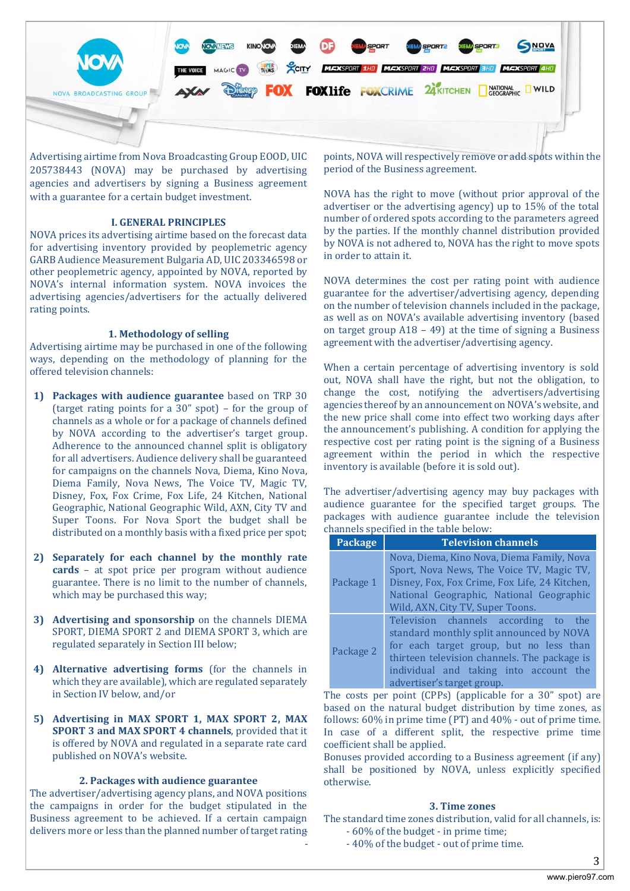

Advertising airtime from Nova Broadcasting Group EOOD, UIC 205738443 (NOVA) may be purchased by advertising agencies and advertisers by signing a Business agreement with a guarantee for a certain budget investment.

### **I. GENERAL PRINCIPLES**

NOVA prices its advertising airtime based on the forecast data for advertising inventory provided by peoplemetric agency GARB Audience Measurement Bulgaria AD, UIC 203346598 or other peoplemetric agency, appointed by NOVA, reported by NOVA's internal information system. NOVA invoices the advertising agencies/advertisers for the actually delivered rating points.

### **1. Methodology of selling**

Advertising airtime may be purchased in one of the following ways, depending on the methodology of planning for the offered television channels:

- **1) Packages with audience guarantee** based on TRP 30 (target rating points for a 30" spot) – for the group of channels as a whole or for a package of channels defined by NOVA according to the advertiser's target group. Adherence to the announced channel split is obligatory for all advertisers. Audience delivery shall be guaranteed for campaigns on the channels Nova, Diema, Kino Nova, Diema Family, Nova News, The Voice TV, Magic TV, Disney, Fox, Fox Crime, Fox Life, 24 Kitchen, National Geographic, National Geographic Wild, AXN, City TV and Super Toons. For Nova Sport the budget shall be distributed on a monthly basis with a fixed price per spot;
- **2) Separately for each channel by the monthly rate cards** – at spot price per program without audience guarantee. There is no limit to the number of channels, which may be purchased this way;
- **3) Advertising and sponsorship** on the channels DIEMA SPORT, DIEMA SPORT 2 and DIEMA SPORT 3, which are regulated separately in Section III below;
- **4) Alternative advertising forms** (for the channels in which they are available), which are regulated separately in Section IV below, and/or
- **5) Advertising in MAX SPORT 1, MAX SPORT 2, MAX SPORT 3 and MAX SPORT 4 channels**, provided that it is offered by NOVA and regulated in a separate rate card published on NOVA's website.

### **2. Packages with audience guarantee**

The advertiser/advertising agency plans, and NOVA positions the campaigns in order for the budget stipulated in the Business agreement to be achieved. If a certain campaign delivers more or less than the planned number of target rating

points, NOVA will respectively remove or add spots within the period of the Business agreement.

NOVA has the right to move (without prior approval of the advertiser or the advertising agency) up to 15% of the total number of ordered spots according to the parameters agreed by the parties. If the monthly channel distribution provided by NOVA is not adhered to, NOVA has the right to move spots in order to attain it.

NOVA determines the cost per rating point with audience guarantee for the advertiser/advertising agency, depending on the number of television channels included in the package, as well as on NOVA's available advertising inventory (based on target group A18 – 49) at the time of signing a Business agreement with the advertiser/advertising agency.

When a certain percentage of advertising inventory is sold out, NOVA shall have the right, but not the obligation, to change the cost, notifying the advertisers/advertising agencies thereof by an announcement on NOVA's website, and the new price shall come into effect two working days after the announcement's publishing. A condition for applying the respective cost per rating point is the signing of a Business agreement within the period in which the respective inventory is available (before it is sold out).

The advertiser/advertising agency may buy packages with audience guarantee for the specified target groups. The packages with audience guarantee include the television channels specified in the table below:

| <b>Package</b> | <b>Television channels</b>                                                                                                                                                                                                                          |
|----------------|-----------------------------------------------------------------------------------------------------------------------------------------------------------------------------------------------------------------------------------------------------|
| Package 1      | Nova, Diema, Kino Nova, Diema Family, Nova<br>Sport, Nova News, The Voice TV, Magic TV,<br>Disney, Fox, Fox Crime, Fox Life, 24 Kitchen,<br>National Geographic, National Geographic<br>Wild, AXN, City TV, Super Toons.                            |
| Package 2      | Television channels according to the<br>standard monthly split announced by NOVA<br>for each target group, but no less than<br>thirteen television channels. The package is<br>individual and taking into account the<br>advertiser's target group. |

The costs per point (CPPs) (applicable for a 30" spot) are based on the natural budget distribution by time zones, as follows: 60% in prime time (PT) and 40% - out of prime time. In case of a different split, the respective prime time coefficient shall be applied.

Bonuses provided according to a Business agreement (if any) shall be positioned by NOVA, unless explicitly specified otherwise.

### **3. Time zones**

The standard time zones distribution, valid for all channels, is: - - 60% of the budget - in prime time;

- - 40% of the budget - out of prime time.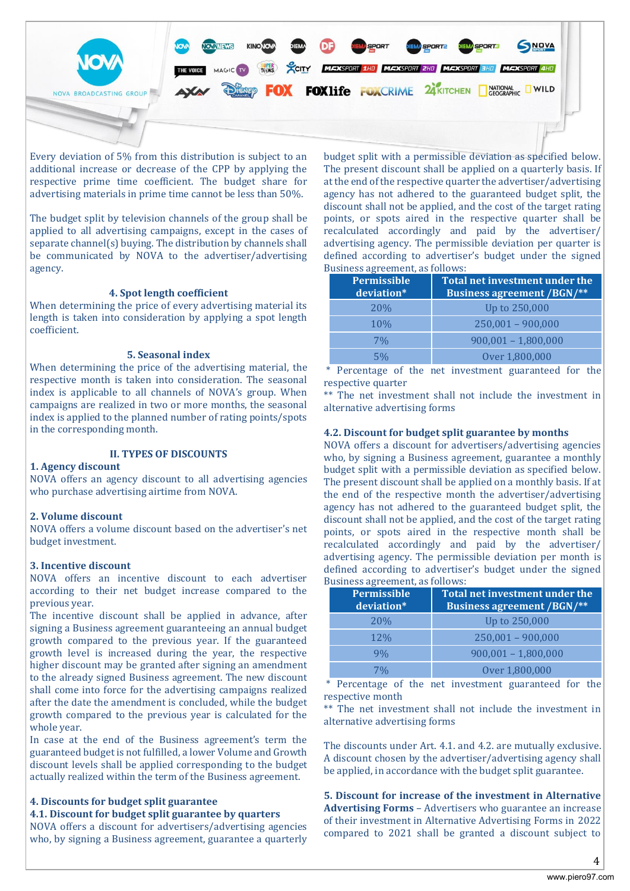

Every deviation of 5% from this distribution is subject to an additional increase or decrease of the CPP by applying the respective prime time coefficient. The budget share for advertising materials in prime time cannot be less than 50%.

The budget split by television channels of the group shall be applied to all advertising campaigns, except in the cases of separate channel(s) buying. The distribution by channels shall be communicated by NOVA to the advertiser/advertising agency.

### **4. Spot length coefficient**

When determining the price of every advertising material its length is taken into consideration by applying a spot length coefficient.

### **5. Seasonal index**

When determining the price of the advertising material, the respective month is taken into consideration. The seasonal index is applicable to all channels of NOVA's group. When campaigns are realized in two or more months, the seasonal index is applied to the planned number of rating points/spots in the corresponding month.

### **II. TYPES OF DISCOUNTS**

### **1. Agency discount**

NOVA offers an agency discount to all advertising agencies who purchase advertising airtime from NOVA.

### **2. Volume discount**

NOVA offers a volume discount based on the advertiser's net budget investment.

### **3. Incentive discount**

NOVA offers an incentive discount to each advertiser according to their net budget increase compared to the previous year.

The incentive discount shall be applied in advance, after signing a Business agreement guaranteeing an annual budget growth compared to the previous year. If the guaranteed growth level is increased during the year, the respective higher discount may be granted after signing an amendment to the already signed Business agreement. The new discount shall come into force for the advertising campaigns realized after the date the amendment is concluded, while the budget growth compared to the previous year is calculated for the whole year.

In case at the end of the Business agreement's term the guaranteed budget is not fulfilled, a lower Volume and Growth discount levels shall be applied corresponding to the budget actually realized within the term of the Business agreement.

### **4. Discounts for budget split guarantee**

**4.1. Discount for budget split guarantee by quarters**

NOVA offers a discount for advertisers/advertising agencies who, by signing a Business agreement, guarantee a quarterly budget split with a permissible deviation as specified below. The present discount shall be applied on a quarterly basis. If at the end of the respective quarter the advertiser/advertising agency has not adhered to the guaranteed budget split, the discount shall not be applied, and the cost of the target rating points, or spots aired in the respective quarter shall be recalculated accordingly and paid by the advertiser/ advertising agency. The permissible deviation per quarter is defined according to advertiser's budget under the signed Business agreement, as follows:

| Permissible<br>deviation* | Total net investment under the<br><b>Business agreement /BGN/**</b> |  |  |
|---------------------------|---------------------------------------------------------------------|--|--|
| <b>20%</b>                | Up to 250,000                                                       |  |  |
| <b>10%</b>                | $250,001 - 900,000$                                                 |  |  |
| 7%                        | $900,001 - 1,800,000$                                               |  |  |
| 5%                        | Over 1,800,000                                                      |  |  |

\* Percentage of the net investment guaranteed for the respective quarter

\*\* The net investment shall not include the investment in alternative advertising forms

### **4.2. Discount for budget split guarantee by months**

NOVA offers a discount for advertisers/advertising agencies who, by signing a Business agreement, guarantee a monthly budget split with a permissible deviation as specified below. The present discount shall be applied on a monthly basis. If at the end of the respective month the advertiser/advertising agency has not adhered to the guaranteed budget split, the discount shall not be applied, and the cost of the target rating points, or spots aired in the respective month shall be recalculated accordingly and paid by the advertiser/ advertising agency. The permissible deviation per month is defined according to advertiser's budget under the signed Business agreement, as follows:

| <b>Permissible</b><br>deviation* | Total net investment under the<br><b>Business agreement /BGN/**</b> |
|----------------------------------|---------------------------------------------------------------------|
| <b>20%</b>                       | Up to 250,000                                                       |
| <b>12%</b>                       | $250,001 - 900,000$                                                 |
| 9%                               | $900,001 - 1,800,000$                                               |
| 7%                               | Over 1,800,000                                                      |

\* Percentage of the net investment guaranteed for the respective month

\*\* The net investment shall not include the investment in alternative advertising forms

The discounts under Art. 4.1. and 4.2. are mutually exclusive. A discount chosen by the advertiser/advertising agency shall be applied, in accordance with the budget split guarantee.

**5. Discount for increase of the investment in Alternative Advertising Forms** – Advertisers who guarantee an increase of their investment in Alternative Advertising Forms in 2022 compared to 2021 shall be granted a discount subject to

4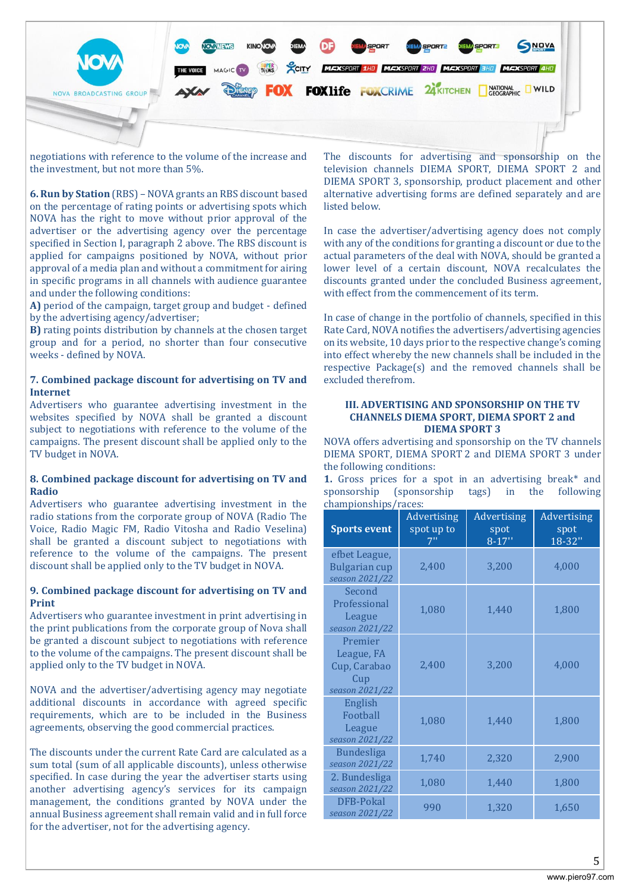

negotiations with reference to the volume of the increase and the investment, but not more than 5%.

**6. Run by Station** (RBS) – NOVA grants an RBS discount based on the percentage of rating points or advertising spots which NOVA has the right to move without prior approval of the advertiser or the advertising agency over the percentage specified in Section I, paragraph 2 above. The RBS discount is applied for campaigns positioned by NOVA, without prior approval of a media plan and without a commitment for airing in specific programs in all channels with audience guarantee and under the following conditions:

**A)** period of the campaign, target group and budget - defined by the advertising agency/advertiser;

**B)** rating points distribution by channels at the chosen target group and for a period, no shorter than four consecutive weeks - defined by NOVA.

### **7. Combined package discount for advertising on TV and Internet**

Advertisers who guarantee advertising investment in the websites specified by NOVA shall be granted a discount subject to negotiations with reference to the volume of the campaigns. The present discount shall be applied only to the TV budget in NOVA.

### **8. Combined package discount for advertising on TV and Radio**

Advertisers who guarantee advertising investment in the radio stations from the corporate group of NOVA (Radio The Voice, Radio Magic FM, Radio Vitosha and Radio Veselina) shall be granted a discount subject to negotiations with reference to the volume of the campaigns. The present discount shall be applied only to the TV budget in NOVA.

### **9. Combined package discount for advertising on TV and Print**

Advertisers who guarantee investment in print advertising in the print publications from the corporate group of Nova shall be granted a discount subject to negotiations with reference to the volume of the campaigns. The present discount shall be applied only to the TV budget in NOVA.

NOVA and the advertiser/advertising agency may negotiate additional discounts in accordance with agreed specific requirements, which are to be included in the Business agreements, observing the good commercial practices.

The discounts under the current Rate Card are calculated as a sum total (sum of all applicable discounts), unless otherwise specified. In case during the year the advertiser starts using another advertising agency's services for its campaign management, the conditions granted by NOVA under the annual Business agreement shall remain valid and in full force for the advertiser, not for the advertising agency.

The discounts for advertising and sponsorship on the television channels DIEMA SPORT, DIEMA SPORT 2 and DIEMA SPORT 3, sponsorship, product placement and other alternative advertising forms are defined separately and are listed below.

In case the advertiser/advertising agency does not comply with any of the conditions for granting a discount or due to the actual parameters of the deal with NOVA, should be granted a lower level of a certain discount, NOVA recalculates the discounts granted under the concluded Business agreement, with effect from the commencement of its term.

In case of change in the portfolio of channels, specified in this Rate Card, NOVA notifies the advertisers/advertising agencies on its website, 10 days prior to the respective change's coming into effect whereby the new channels shall be included in the respective Package(s) and the removed channels shall be excluded therefrom.

### **III. ADVERTISING AND SPONSORSHIP ON THE TV CHANNELS DIEMA SPORT, DIEMA SPORT 2 and DIEMA SPORT 3**

NOVA offers advertising and sponsorship on the TV channels DIEMA SPORT, DIEMA SPORT 2 and DIEMA SPORT 3 under the following conditions:

**1.** Gross prices for a spot in an advertising break\* and sponsorship (sponsorship tags) in the following championships/races:

| championsmps/raccs.<br><b>Sports event</b>                     | Advertising<br>spot up to<br>7" | Advertising<br>spot<br>$8 - 17"$ | <b>Advertising</b><br>spot<br>18-32" |
|----------------------------------------------------------------|---------------------------------|----------------------------------|--------------------------------------|
| efbet League,<br><b>Bulgarian cup</b><br>season 2021/22        | 2,400                           | 3,200                            | 4,000                                |
| Second<br>Professional<br>League<br>season 2021/22             | 1,080                           | 1,440                            | 1,800                                |
| Premier<br>League, FA<br>Cup, Carabao<br>Cup<br>season 2021/22 | 2,400                           | 3,200                            | 4,000                                |
| English<br>Football<br>League<br>season 2021/22                | 1,080                           | 1,440                            | 1,800                                |
| <b>Bundesliga</b><br>season 2021/22                            | 1,740                           | 2,320                            | 2,900                                |
| 2. Bundesliga<br>season 2021/22                                | 1,080                           | 1,440                            | 1,800                                |
| <b>DFB-Pokal</b><br>season 2021/22                             | 990                             | 1,320                            | 1,650                                |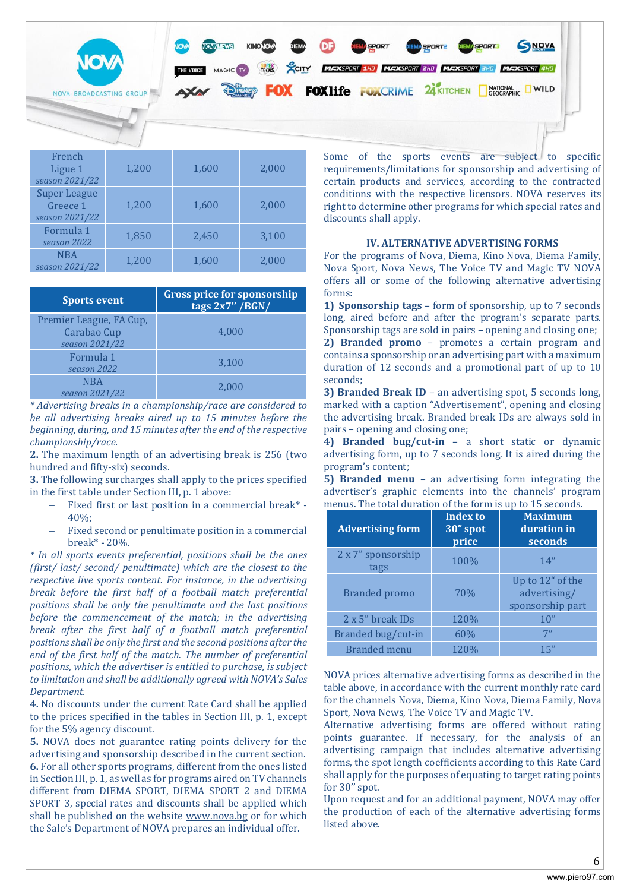

| гтенсп<br>Ligue 1<br>season 2021/22               | 1,200 | 1,600 | 2,000 |
|---------------------------------------------------|-------|-------|-------|
| <b>Super League</b><br>Greece 1<br>season 2021/22 | 1,200 | 1,600 | 2,000 |
| Formula 1<br>season 2022                          | 1,850 | 2,450 | 3,100 |
| <b>NBA</b><br>season 2021/22                      | 1,200 | 1,600 | 2,000 |

| <b>Sports event</b>                                      | <b>Gross price for sponsorship</b><br>tags $2x7''$ /BGN/ |
|----------------------------------------------------------|----------------------------------------------------------|
| Premier League, FA Cup,<br>Carabao Cup<br>season 2021/22 | 4,000                                                    |
| Formula 1<br>season 2022                                 | 3,100                                                    |
| <b>NBA</b><br>season 2021/22                             | 2.000                                                    |

*\* Advertising breaks in a championship/race are considered to be all advertising breaks aired up to 15 minutes before the beginning, during, and 15 minutes after the end of the respective championship/race.*

**2.** The maximum length of an advertising break is 256 (two hundred and fifty-six) seconds.

**3.** The following surcharges shall apply to the prices specified in the first table under Section III, p. 1 above:

- − Fixed first or last position in a commercial break\* 40%;
- Fixed second or penultimate position in a commercial break\* - 20%.

*\* In all sports events preferential, positions shall be the ones (first/ last/ second/ penultimate) which are the closest to the respective live sports content. For instance, in the advertising break before the first half of a football match preferential positions shall be only the penultimate and the last positions before the commencement of the match; in the advertising break after the first half of a football match preferential positions shall be only the first and the second positions after the end of the first half of the match. The number of preferential positions, which the advertiser is entitled to purchase, is subject to limitation and shall be additionally agreed with NOVA's Sales Department.*

**4.** No discounts under the current Rate Card shall be applied to the prices specified in the tables in Section III, p. 1, except for the 5% agency discount.

**5.** NOVA does not guarantee rating points delivery for the advertising and sponsorship described in the current section. **6.** For all other sports programs, different from the ones listed in Section III, p. 1, as well as for programs aired on TV channels different from DIEMA SPORT, DIEMA SPORT 2 and DIEMA SPORT 3, special rates and discounts shall be applied which shall be published on the website [www.nova.bg](http://www.nova.bg/) or for which the Sale's Department of NOVA prepares an individual offer.

requirements/limitations for sponsorship and advertising of certain products and services, according to the contracted conditions with the respective licensors. NOVA reserves its right to determine other programs for which special rates and discounts shall apply.

### **IV. ALTERNATIVE ADVERTISING FORMS**

For the programs of Nova, Diema, Kino Nova, Diema Family, Nova Sport, Nova News, The Voice TV and Magic TV NOVA offers all or some of the following alternative advertising forms:

**1) Sponsorship tags** – form of sponsorship, up to 7 seconds long, aired before and after the program's separate parts. Sponsorship tags are sold in pairs – opening and closing one; **2) Branded promo** – promotes a certain program and contains a sponsorship or an advertising part with a maximum duration of 12 seconds and a promotional part of up to 10 seconds;

**3) Branded Break ID** – an advertising spot, 5 seconds long, marked with a caption "Advertisement", opening and closing the advertising break. Branded break IDs are always sold in pairs – opening and closing one;

**4) Branded bug/cut-in** – a short static or dynamic advertising form, up to 7 seconds long. It is aired during the program's content;

**5) Branded menu** – an advertising form integrating the advertiser's graphic elements into the channels' program menus. The total duration of the form is up to 15 seconds.

| <b>Advertising form</b>    | <b>Index to</b><br>30" spot<br>price | <b>Maximum</b><br>duration in<br>seconds             |
|----------------------------|--------------------------------------|------------------------------------------------------|
| 2 x 7" sponsorship<br>tags | 100%                                 | 14"                                                  |
| Branded promo              | 70%                                  | Up to 12" of the<br>advertising/<br>sponsorship part |
| 2 x 5" break IDs           | 120%                                 | 10"                                                  |
| Branded bug/cut-in         | 60%                                  | 7"                                                   |
| <b>Branded</b> menu        | 120%                                 | 15"                                                  |

NOVA prices alternative advertising forms as described in the table above, in accordance with the current monthly rate card for the channels Nova, Diema, Kino Nova, Diema Family, Nova Sport, Nova News, The Voice TV and Magic TV.

Alternative advertising forms are offered without rating points guarantee. If necessary, for the analysis of an advertising campaign that includes alternative advertising forms, the spot length coefficients according to this Rate Card shall apply for the purposes of equating to target rating points for 30'' spot.

Upon request and for an additional payment, NOVA may offer the production of each of the alternative advertising forms listed above.

6